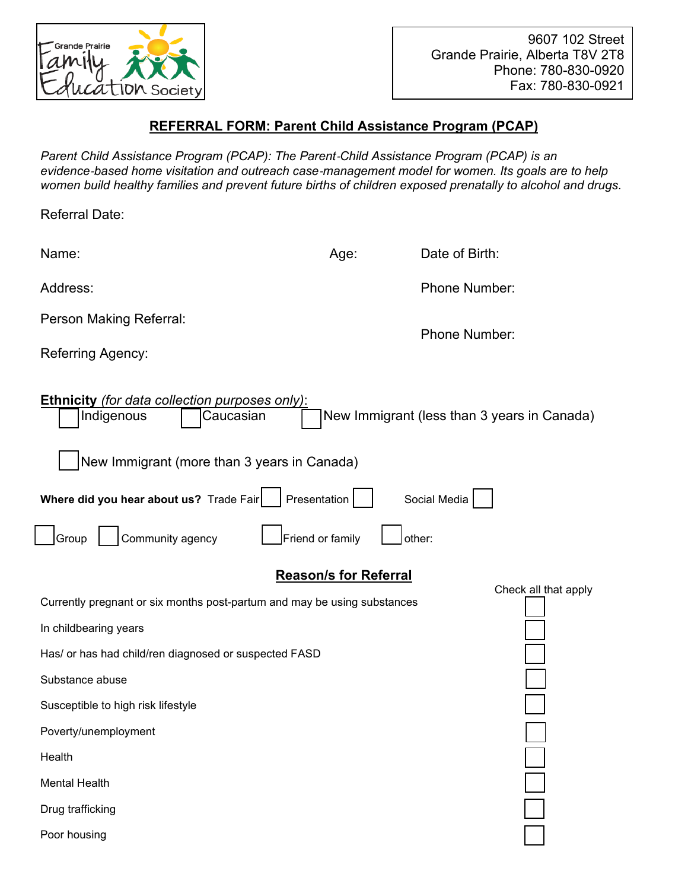

## **REFERRAL FORM: Parent Child Assistance Program (PCAP)**

*Parent Child Assistance Program (PCAP): The Parent*‐*Child Assistance Program (PCAP) is an evidence*‐*based home visitation and outreach case*‐*management model for women. Its goals are to help women build healthy families and prevent future births of children exposed prenatally to alcohol and drugs.*

| <b>Referral Date:</b>                                                                                                                                                                                                                                                         |                                  |                        |                                             |
|-------------------------------------------------------------------------------------------------------------------------------------------------------------------------------------------------------------------------------------------------------------------------------|----------------------------------|------------------------|---------------------------------------------|
| Name:                                                                                                                                                                                                                                                                         | Age:                             | Date of Birth:         |                                             |
| Address:                                                                                                                                                                                                                                                                      |                                  | Phone Number:          |                                             |
| Person Making Referral:<br>Referring Agency:                                                                                                                                                                                                                                  |                                  | <b>Phone Number:</b>   |                                             |
| <b>Ethnicity</b> (for data collection purposes only):<br>Caucasian<br>Indigenous<br>New Immigrant (more than 3 years in Canada)                                                                                                                                               |                                  |                        | New Immigrant (less than 3 years in Canada) |
| Where did you hear about us? Trade Fair<br>Community agency<br>Group                                                                                                                                                                                                          | Presentation<br>Friend or family | Social Media<br>other: |                                             |
| Currently pregnant or six months post-partum and may be using substances<br>In childbearing years<br>Has/ or has had child/ren diagnosed or suspected FASD<br>Substance abuse<br>Susceptible to high risk lifestyle<br>Poverty/unemployment<br>Health<br><b>Mental Health</b> | <b>Reason/s for Referral</b>     |                        | Check all that apply                        |
| Drug trafficking<br>Poor housing                                                                                                                                                                                                                                              |                                  |                        |                                             |